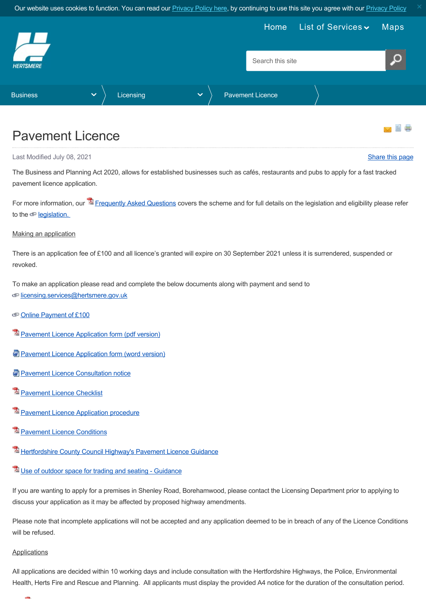Our website uses cookies to function. You can read our **[Privacy Policy here](https://www.hertsmere.gov.uk/Privacy--Cookies.aspx)**, by continuing to use this site you agree with our **Privacy Policy** 

<span id="page-0-0"></span>

## Pavement Licence

Last Modified July 08, 2021 [Share this page](http://www.addthis.com/bookmark.php?v=250&pubid=xa-502e5fd570edcb1e) of the state of the state of the state of the state of the state of the state of the state of the state of the state of the state of the state of the state of the state of the st

The Business and Planning Act 2020, allows for established businesses such as cafés, restaurants and pubs to apply for a fast tracked pavement licence application.

For more information, our <sup>12</sup> [Frequently Asked Questions](https://www.hertsmere.gov.uk/Documents/02-Business/Licensing/Pavement-Licence-FAQ.pdf) covers the scheme and for full details on the legislation and eligibility please refer to the  $\textcircled{\textcirc}$  legislation.

## Making an application

There is an application fee of £100 and all licence's granted will expire on 30 September 2021 unless it is surrendered, suspended or revoked.

To make an application please read and complete the below documents along with payment and send to

- co[licensing.services@hertsmere.gov.uk](mailto:licensing.services@hertsmere.gov.uk)
- [Online Payment of £100](https://www.civicaepay.co.uk/Hertsmere/webpay_public/webpay/default.aspx?fund=05)
- $\mathbb Z$  [Pavement Licence Application form \(pdf version\)](https://www.hertsmere.gov.uk/Documents/02-Business/Licensing/HBC-Pavement-Licence-Application-form-v1.pdf)
- **[Pavement Licence Application form \(word version\)](https://www.hertsmere.gov.uk/Documents/02-Business/Licensing/HBC-Pavement-Licence-Application-form-v1.docx)**
- **[Pavement Licence Consultation notice](https://www.hertsmere.gov.uk/Documents/02-Business/Licensing/HBC-Pavement-Licence-Consultation-Notice.docx)**
- **[Pavement Licence Checklist](https://www.hertsmere.gov.uk/Documents/02-Business/Licensing/Pavement-Licence-Application-checklist.pdf)**
- **[Pavement Licence Application procedure](https://www.hertsmere.gov.uk/Documents/02-Business/Licensing/Pavement-Licence-Application-procedure.pdf)**
- **E** [Pavement Licence Conditions](https://www.hertsmere.gov.uk/Documents/02-Business/Licensing/Pavement-Licence-Conditions.pdf)
- **E** [Hertfordshire County Council Highway's Pavement Licence Guidance](https://www.hertsmere.gov.uk/Documents/02-Business/Licensing/Hertfordshire-County-Council-Highway-Pavement-Licences-Guidelines.pdf)
- [Use of outdoor space for trading and seating Guidance](https://www.hertsmere.gov.uk/Documents/02-Business/Licensing/Use-of-outdoor-space-for-trading-and-seating-Guidance.pdf)

If you are wanting to apply for a premises in Shenley Road, Borehamwood, please contact the Licensing Department prior to applying to discuss your application as it may be affected by proposed highway amendments.

Please note that incomplete applications will not be accepted and any application deemed to be in breach of any of the Licence Conditions will be refused.

## **Applications**

and in

All applications are decided within 10 working days and include consultation with the Hertfordshire Highways, the Police, Environmental Health, Herts Fire and Rescue and Planning. All applicants must display the provided A4 notice for the duration of the consultation period.